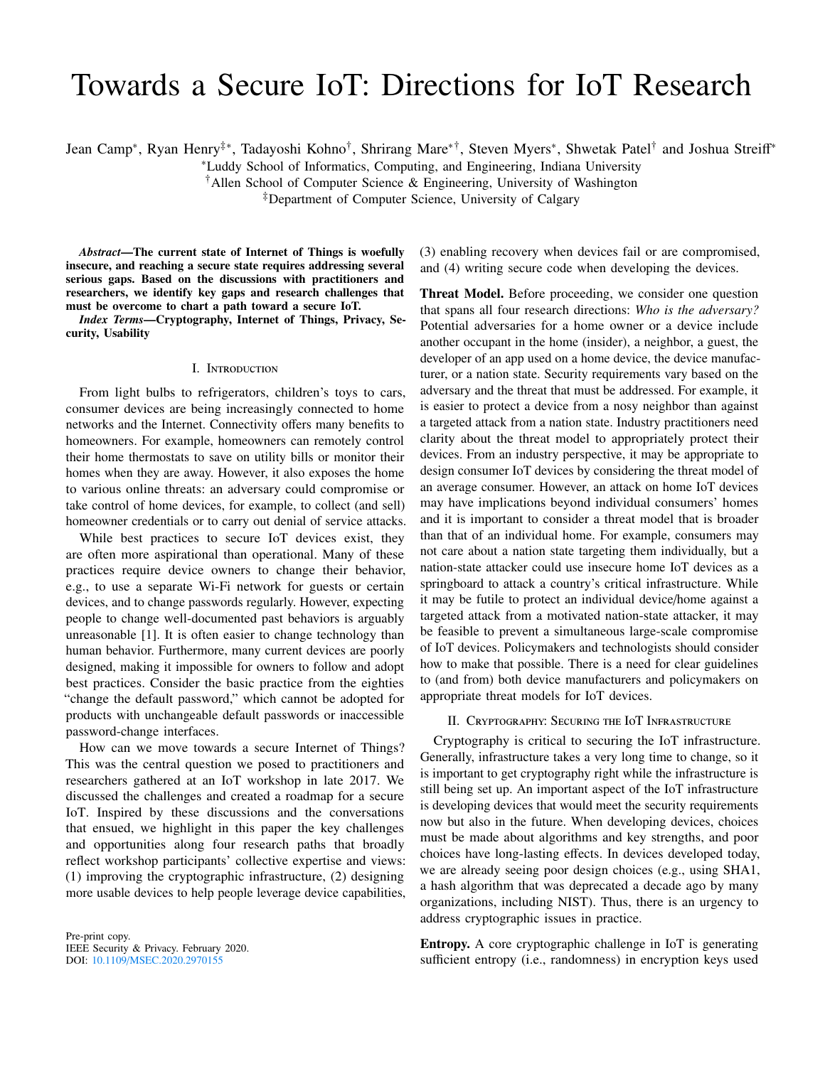# Towards a Secure IoT: Directions for IoT Research

Jean Camp\*, Ryan Henry‡\*, Tadayoshi Kohno†, Shrirang Mare\*†, Steven Myers\*, Shwetak Patel† and Joshua Streiff\*

<sup>∗</sup>Luddy School of Informatics, Computing, and Engineering, Indiana University

†Allen School of Computer Science & Engineering, University of Washington

‡Department of Computer Science, University of Calgary

*Abstract*—The current state of Internet of Things is woefully insecure, and reaching a secure state requires addressing several serious gaps. Based on the discussions with practitioners and researchers, we identify key gaps and research challenges that must be overcome to chart a path toward a secure IoT.

*Index Terms*—Cryptography, Internet of Things, Privacy, Security, Usability

# I. Introduction

From light bulbs to refrigerators, children's toys to cars, consumer devices are being increasingly connected to home networks and the Internet. Connectivity offers many benefits to homeowners. For example, homeowners can remotely control their home thermostats to save on utility bills or monitor their homes when they are away. However, it also exposes the home to various online threats: an adversary could compromise or take control of home devices, for example, to collect (and sell) homeowner credentials or to carry out denial of service attacks.

While best practices to secure IoT devices exist, they are often more aspirational than operational. Many of these practices require device owners to change their behavior, e.g., to use a separate Wi-Fi network for guests or certain devices, and to change passwords regularly. However, expecting people to change well-documented past behaviors is arguably unreasonable [\[1\]](#page-6-0). It is often easier to change technology than human behavior. Furthermore, many current devices are poorly designed, making it impossible for owners to follow and adopt best practices. Consider the basic practice from the eighties "change the default password," which cannot be adopted for products with unchangeable default passwords or inaccessible password-change interfaces.

How can we move towards a secure Internet of Things? This was the central question we posed to practitioners and researchers gathered at an IoT workshop in late 2017. We discussed the challenges and created a roadmap for a secure IoT. Inspired by these discussions and the conversations that ensued, we highlight in this paper the key challenges and opportunities along four research paths that broadly reflect workshop participants' collective expertise and views: (1) improving the cryptographic infrastructure, (2) designing more usable devices to help people leverage device capabilities,

Pre-print copy. IEEE Security & Privacy. February 2020. DOI: <sup>10</sup>.1109/MSEC.2020.[2970155](10.1109/MSEC.2020.2970155)

(3) enabling recovery when devices fail or are compromised, and (4) writing secure code when developing the devices.

Threat Model. Before proceeding, we consider one question that spans all four research directions: *Who is the adversary?* Potential adversaries for a home owner or a device include another occupant in the home (insider), a neighbor, a guest, the developer of an app used on a home device, the device manufacturer, or a nation state. Security requirements vary based on the adversary and the threat that must be addressed. For example, it is easier to protect a device from a nosy neighbor than against a targeted attack from a nation state. Industry practitioners need clarity about the threat model to appropriately protect their devices. From an industry perspective, it may be appropriate to design consumer IoT devices by considering the threat model of an average consumer. However, an attack on home IoT devices may have implications beyond individual consumers' homes and it is important to consider a threat model that is broader than that of an individual home. For example, consumers may not care about a nation state targeting them individually, but a nation-state attacker could use insecure home IoT devices as a springboard to attack a country's critical infrastructure. While it may be futile to protect an individual device/home against a targeted attack from a motivated nation-state attacker, it may be feasible to prevent a simultaneous large-scale compromise of IoT devices. Policymakers and technologists should consider how to make that possible. There is a need for clear guidelines to (and from) both device manufacturers and policymakers on appropriate threat models for IoT devices.

#### II. Cryptography: Securing the IoT Infrastructure

<span id="page-0-0"></span>Cryptography is critical to securing the IoT infrastructure. Generally, infrastructure takes a very long time to change, so it is important to get cryptography right while the infrastructure is still being set up. An important aspect of the IoT infrastructure is developing devices that would meet the security requirements now but also in the future. When developing devices, choices must be made about algorithms and key strengths, and poor choices have long-lasting effects. In devices developed today, we are already seeing poor design choices (e.g., using SHA1, a hash algorithm that was deprecated a decade ago by many organizations, including NIST). Thus, there is an urgency to address cryptographic issues in practice.

Entropy. A core cryptographic challenge in IoT is generating sufficient entropy (i.e., randomness) in encryption keys used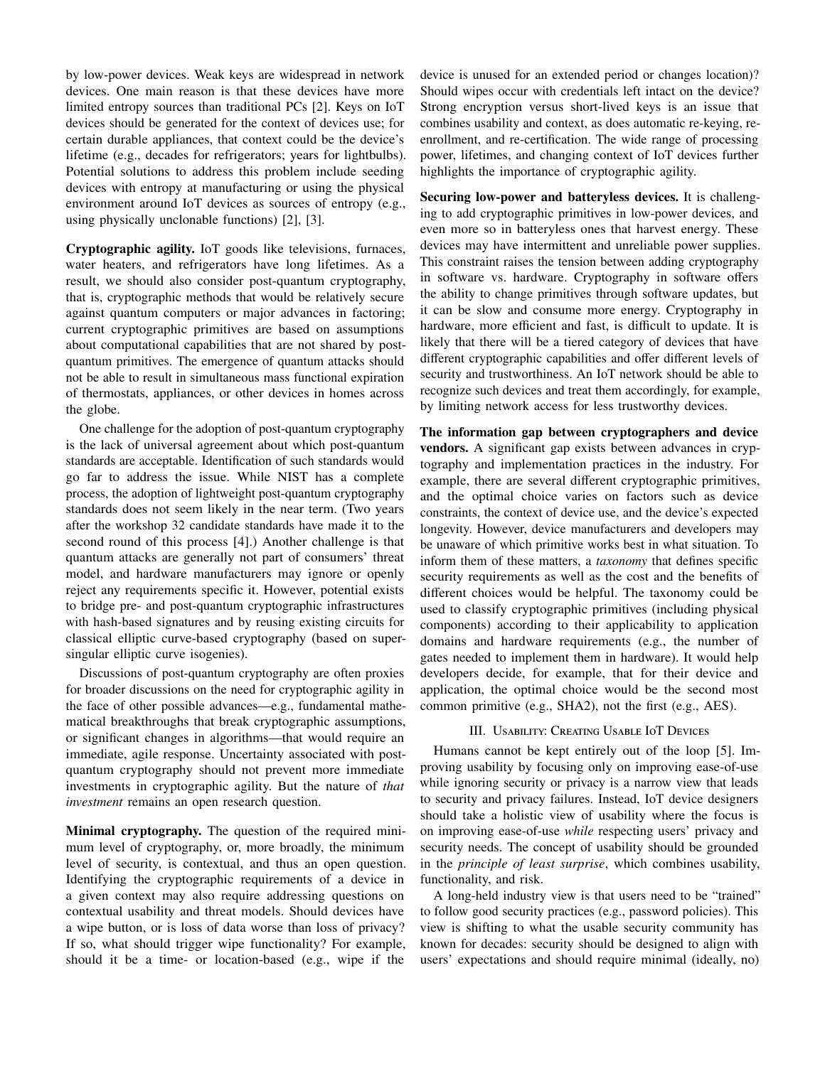by low-power devices. Weak keys are widespread in network devices. One main reason is that these devices have more limited entropy sources than traditional PCs [\[2\]](#page-6-1). Keys on IoT devices should be generated for the context of devices use; for certain durable appliances, that context could be the device's lifetime (e.g., decades for refrigerators; years for lightbulbs). Potential solutions to address this problem include seeding devices with entropy at manufacturing or using the physical environment around IoT devices as sources of entropy (e.g., using physically unclonable functions) [\[2\]](#page-6-1), [\[3\]](#page-6-2).

Cryptographic agility. IoT goods like televisions, furnaces, water heaters, and refrigerators have long lifetimes. As a result, we should also consider post-quantum cryptography, that is, cryptographic methods that would be relatively secure against quantum computers or major advances in factoring; current cryptographic primitives are based on assumptions about computational capabilities that are not shared by postquantum primitives. The emergence of quantum attacks should not be able to result in simultaneous mass functional expiration of thermostats, appliances, or other devices in homes across the globe.

One challenge for the adoption of post-quantum cryptography is the lack of universal agreement about which post-quantum standards are acceptable. Identification of such standards would go far to address the issue. While NIST has a complete process, the adoption of lightweight post-quantum cryptography standards does not seem likely in the near term. (Two years after the workshop 32 candidate standards have made it to the second round of this process [\[4\]](#page-6-3).) Another challenge is that quantum attacks are generally not part of consumers' threat model, and hardware manufacturers may ignore or openly reject any requirements specific it. However, potential exists to bridge pre- and post-quantum cryptographic infrastructures with hash-based signatures and by reusing existing circuits for classical elliptic curve-based cryptography (based on supersingular elliptic curve isogenies).

Discussions of post-quantum cryptography are often proxies for broader discussions on the need for cryptographic agility in the face of other possible advances—e.g., fundamental mathematical breakthroughs that break cryptographic assumptions, or significant changes in algorithms—that would require an immediate, agile response. Uncertainty associated with postquantum cryptography should not prevent more immediate investments in cryptographic agility. But the nature of *that investment* remains an open research question.

Minimal cryptography. The question of the required minimum level of cryptography, or, more broadly, the minimum level of security, is contextual, and thus an open question. Identifying the cryptographic requirements of a device in a given context may also require addressing questions on contextual usability and threat models. Should devices have a wipe button, or is loss of data worse than loss of privacy? If so, what should trigger wipe functionality? For example, should it be a time- or location-based (e.g., wipe if the

device is unused for an extended period or changes location)? Should wipes occur with credentials left intact on the device? Strong encryption versus short-lived keys is an issue that combines usability and context, as does automatic re-keying, reenrollment, and re-certification. The wide range of processing power, lifetimes, and changing context of IoT devices further highlights the importance of cryptographic agility.

Securing low-power and batteryless devices. It is challenging to add cryptographic primitives in low-power devices, and even more so in batteryless ones that harvest energy. These devices may have intermittent and unreliable power supplies. This constraint raises the tension between adding cryptography in software vs. hardware. Cryptography in software offers the ability to change primitives through software updates, but it can be slow and consume more energy. Cryptography in hardware, more efficient and fast, is difficult to update. It is likely that there will be a tiered category of devices that have different cryptographic capabilities and offer different levels of security and trustworthiness. An IoT network should be able to recognize such devices and treat them accordingly, for example, by limiting network access for less trustworthy devices.

The information gap between cryptographers and device vendors. A significant gap exists between advances in cryptography and implementation practices in the industry. For example, there are several different cryptographic primitives, and the optimal choice varies on factors such as device constraints, the context of device use, and the device's expected longevity. However, device manufacturers and developers may be unaware of which primitive works best in what situation. To inform them of these matters, a *taxonomy* that defines specific security requirements as well as the cost and the benefits of different choices would be helpful. The taxonomy could be used to classify cryptographic primitives (including physical components) according to their applicability to application domains and hardware requirements (e.g., the number of gates needed to implement them in hardware). It would help developers decide, for example, that for their device and application, the optimal choice would be the second most common primitive (e.g., SHA2), not the first (e.g., AES).

# III. Usability: Creating Usable IoT Devices

<span id="page-1-0"></span>Humans cannot be kept entirely out of the loop [\[5\]](#page-6-4). Improving usability by focusing only on improving ease-of-use while ignoring security or privacy is a narrow view that leads to security and privacy failures. Instead, IoT device designers should take a holistic view of usability where the focus is on improving ease-of-use *while* respecting users' privacy and security needs. The concept of usability should be grounded in the *principle of least surprise*, which combines usability, functionality, and risk.

A long-held industry view is that users need to be "trained" to follow good security practices (e.g., password policies). This view is shifting to what the usable security community has known for decades: security should be designed to align with users' expectations and should require minimal (ideally, no)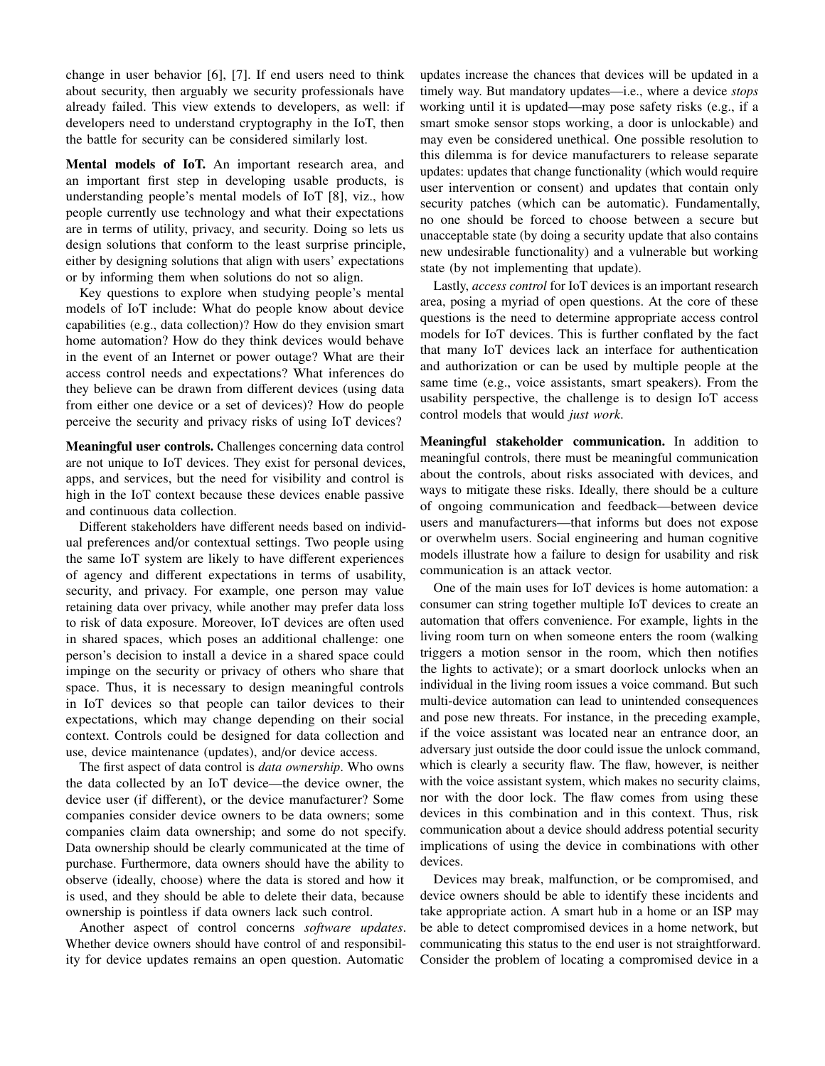change in user behavior [\[6\]](#page-6-5), [\[7\]](#page-6-6). If end users need to think about security, then arguably we security professionals have already failed. This view extends to developers, as well: if developers need to understand cryptography in the IoT, then the battle for security can be considered similarly lost.

Mental models of IoT. An important research area, and an important first step in developing usable products, is understanding people's mental models of IoT [\[8\]](#page-6-7), viz., how people currently use technology and what their expectations are in terms of utility, privacy, and security. Doing so lets us design solutions that conform to the least surprise principle, either by designing solutions that align with users' expectations or by informing them when solutions do not so align.

Key questions to explore when studying people's mental models of IoT include: What do people know about device capabilities (e.g., data collection)? How do they envision smart home automation? How do they think devices would behave in the event of an Internet or power outage? What are their access control needs and expectations? What inferences do they believe can be drawn from different devices (using data from either one device or a set of devices)? How do people perceive the security and privacy risks of using IoT devices?

Meaningful user controls. Challenges concerning data control are not unique to IoT devices. They exist for personal devices, apps, and services, but the need for visibility and control is high in the IoT context because these devices enable passive and continuous data collection.

Different stakeholders have different needs based on individual preferences and/or contextual settings. Two people using the same IoT system are likely to have different experiences of agency and different expectations in terms of usability, security, and privacy. For example, one person may value retaining data over privacy, while another may prefer data loss to risk of data exposure. Moreover, IoT devices are often used in shared spaces, which poses an additional challenge: one person's decision to install a device in a shared space could impinge on the security or privacy of others who share that space. Thus, it is necessary to design meaningful controls in IoT devices so that people can tailor devices to their expectations, which may change depending on their social context. Controls could be designed for data collection and use, device maintenance (updates), and/or device access.

The first aspect of data control is *data ownership*. Who owns the data collected by an IoT device—the device owner, the device user (if different), or the device manufacturer? Some companies consider device owners to be data owners; some companies claim data ownership; and some do not specify. Data ownership should be clearly communicated at the time of purchase. Furthermore, data owners should have the ability to observe (ideally, choose) where the data is stored and how it is used, and they should be able to delete their data, because ownership is pointless if data owners lack such control.

Another aspect of control concerns *software updates*. Whether device owners should have control of and responsibility for device updates remains an open question. Automatic

updates increase the chances that devices will be updated in a timely way. But mandatory updates—i.e., where a device *stops* working until it is updated—may pose safety risks (e.g., if a smart smoke sensor stops working, a door is unlockable) and may even be considered unethical. One possible resolution to this dilemma is for device manufacturers to release separate updates: updates that change functionality (which would require user intervention or consent) and updates that contain only security patches (which can be automatic). Fundamentally, no one should be forced to choose between a secure but unacceptable state (by doing a security update that also contains new undesirable functionality) and a vulnerable but working state (by not implementing that update).

Lastly, *access control* for IoT devices is an important research area, posing a myriad of open questions. At the core of these questions is the need to determine appropriate access control models for IoT devices. This is further conflated by the fact that many IoT devices lack an interface for authentication and authorization or can be used by multiple people at the same time (e.g., voice assistants, smart speakers). From the usability perspective, the challenge is to design IoT access control models that would *just work*.

Meaningful stakeholder communication. In addition to meaningful controls, there must be meaningful communication about the controls, about risks associated with devices, and ways to mitigate these risks. Ideally, there should be a culture of ongoing communication and feedback—between device users and manufacturers—that informs but does not expose or overwhelm users. Social engineering and human cognitive models illustrate how a failure to design for usability and risk communication is an attack vector.

One of the main uses for IoT devices is home automation: a consumer can string together multiple IoT devices to create an automation that offers convenience. For example, lights in the living room turn on when someone enters the room (walking triggers a motion sensor in the room, which then notifies the lights to activate); or a smart doorlock unlocks when an individual in the living room issues a voice command. But such multi-device automation can lead to unintended consequences and pose new threats. For instance, in the preceding example, if the voice assistant was located near an entrance door, an adversary just outside the door could issue the unlock command, which is clearly a security flaw. The flaw, however, is neither with the voice assistant system, which makes no security claims, nor with the door lock. The flaw comes from using these devices in this combination and in this context. Thus, risk communication about a device should address potential security implications of using the device in combinations with other devices.

Devices may break, malfunction, or be compromised, and device owners should be able to identify these incidents and take appropriate action. A smart hub in a home or an ISP may be able to detect compromised devices in a home network, but communicating this status to the end user is not straightforward. Consider the problem of locating a compromised device in a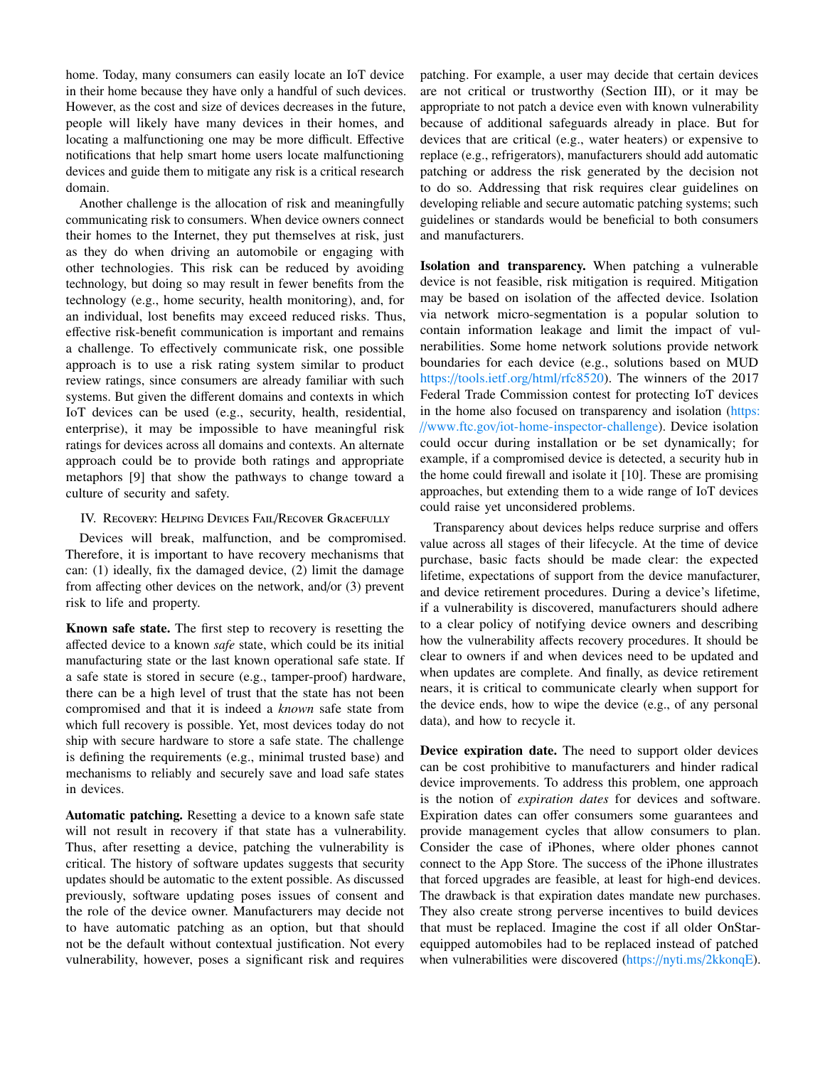home. Today, many consumers can easily locate an IoT device in their home because they have only a handful of such devices. However, as the cost and size of devices decreases in the future, people will likely have many devices in their homes, and locating a malfunctioning one may be more difficult. Effective notifications that help smart home users locate malfunctioning devices and guide them to mitigate any risk is a critical research domain.

Another challenge is the allocation of risk and meaningfully communicating risk to consumers. When device owners connect their homes to the Internet, they put themselves at risk, just as they do when driving an automobile or engaging with other technologies. This risk can be reduced by avoiding technology, but doing so may result in fewer benefits from the technology (e.g., home security, health monitoring), and, for an individual, lost benefits may exceed reduced risks. Thus, effective risk-benefit communication is important and remains a challenge. To effectively communicate risk, one possible approach is to use a risk rating system similar to product review ratings, since consumers are already familiar with such systems. But given the different domains and contexts in which IoT devices can be used (e.g., security, health, residential, enterprise), it may be impossible to have meaningful risk ratings for devices across all domains and contexts. An alternate approach could be to provide both ratings and appropriate metaphors [\[9\]](#page-6-8) that show the pathways to change toward a culture of security and safety.

# <span id="page-3-0"></span>IV. RECOVERY: HELPING DEVICES FAIL/RECOVER GRACEFULLY

Devices will break, malfunction, and be compromised. Therefore, it is important to have recovery mechanisms that can: (1) ideally, fix the damaged device, (2) limit the damage from affecting other devices on the network, and/or (3) prevent risk to life and property.

Known safe state. The first step to recovery is resetting the affected device to a known *safe* state, which could be its initial manufacturing state or the last known operational safe state. If a safe state is stored in secure (e.g., tamper-proof) hardware, there can be a high level of trust that the state has not been compromised and that it is indeed a *known* safe state from which full recovery is possible. Yet, most devices today do not ship with secure hardware to store a safe state. The challenge is defining the requirements (e.g., minimal trusted base) and mechanisms to reliably and securely save and load safe states in devices.

Automatic patching. Resetting a device to a known safe state will not result in recovery if that state has a vulnerability. Thus, after resetting a device, patching the vulnerability is critical. The history of software updates suggests that security updates should be automatic to the extent possible. As discussed previously, software updating poses issues of consent and the role of the device owner. Manufacturers may decide not to have automatic patching as an option, but that should not be the default without contextual justification. Not every vulnerability, however, poses a significant risk and requires

patching. For example, a user may decide that certain devices are not critical or trustworthy (Section [III\)](#page-1-0), or it may be appropriate to not patch a device even with known vulnerability because of additional safeguards already in place. But for devices that are critical (e.g., water heaters) or expensive to replace (e.g., refrigerators), manufacturers should add automatic patching or address the risk generated by the decision not to do so. Addressing that risk requires clear guidelines on developing reliable and secure automatic patching systems; such guidelines or standards would be beneficial to both consumers and manufacturers.

Isolation and transparency. When patching a vulnerable device is not feasible, risk mitigation is required. Mitigation may be based on isolation of the affected device. Isolation via network micro-segmentation is a popular solution to contain information leakage and limit the impact of vulnerabilities. Some home network solutions provide network boundaries for each device (e.g., solutions based on MUD https://tools.ietf.org/html/[rfc8520\)](https://tools.ietf.org/html/rfc8520). The winners of the 2017 Federal Trade Commission contest for protecting IoT devices in the home also focused on transparency and isolation [\(https:](https://www.ftc.gov/iot-home-inspector-challenge) //www.ftc.gov/[iot-home-inspector-challenge\)](https://www.ftc.gov/iot-home-inspector-challenge). Device isolation could occur during installation or be set dynamically; for example, if a compromised device is detected, a security hub in the home could firewall and isolate it [\[10\]](#page-6-9). These are promising approaches, but extending them to a wide range of IoT devices could raise yet unconsidered problems.

Transparency about devices helps reduce surprise and offers value across all stages of their lifecycle. At the time of device purchase, basic facts should be made clear: the expected lifetime, expectations of support from the device manufacturer, and device retirement procedures. During a device's lifetime, if a vulnerability is discovered, manufacturers should adhere to a clear policy of notifying device owners and describing how the vulnerability affects recovery procedures. It should be clear to owners if and when devices need to be updated and when updates are complete. And finally, as device retirement nears, it is critical to communicate clearly when support for the device ends, how to wipe the device (e.g., of any personal data), and how to recycle it.

Device expiration date. The need to support older devices can be cost prohibitive to manufacturers and hinder radical device improvements. To address this problem, one approach is the notion of *expiration dates* for devices and software. Expiration dates can offer consumers some guarantees and provide management cycles that allow consumers to plan. Consider the case of iPhones, where older phones cannot connect to the App Store. The success of the iPhone illustrates that forced upgrades are feasible, at least for high-end devices. The drawback is that expiration dates mandate new purchases. They also create strong perverse incentives to build devices that must be replaced. Imagine the cost if all older OnStarequipped automobiles had to be replaced instead of patched when vulnerabilities were discovered (https://nyti.ms/[2kkonqE\)](https://nyti.ms/2kkonqE).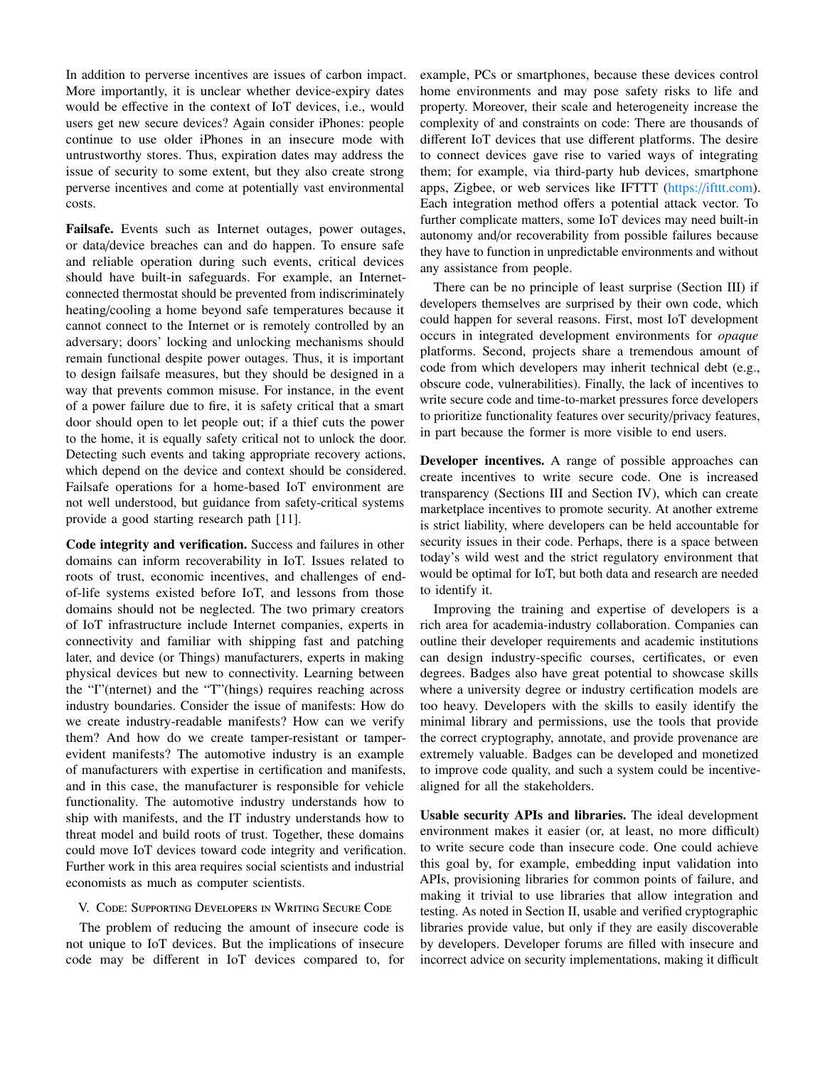In addition to perverse incentives are issues of carbon impact. More importantly, it is unclear whether device-expiry dates would be effective in the context of IoT devices, i.e., would users get new secure devices? Again consider iPhones: people continue to use older iPhones in an insecure mode with untrustworthy stores. Thus, expiration dates may address the issue of security to some extent, but they also create strong perverse incentives and come at potentially vast environmental costs.

Failsafe. Events such as Internet outages, power outages, or data/device breaches can and do happen. To ensure safe and reliable operation during such events, critical devices should have built-in safeguards. For example, an Internetconnected thermostat should be prevented from indiscriminately heating/cooling a home beyond safe temperatures because it cannot connect to the Internet or is remotely controlled by an adversary; doors' locking and unlocking mechanisms should remain functional despite power outages. Thus, it is important to design failsafe measures, but they should be designed in a way that prevents common misuse. For instance, in the event of a power failure due to fire, it is safety critical that a smart door should open to let people out; if a thief cuts the power to the home, it is equally safety critical not to unlock the door. Detecting such events and taking appropriate recovery actions, which depend on the device and context should be considered. Failsafe operations for a home-based IoT environment are not well understood, but guidance from safety-critical systems provide a good starting research path [\[11\]](#page-6-10).

Code integrity and verification. Success and failures in other domains can inform recoverability in IoT. Issues related to roots of trust, economic incentives, and challenges of endof-life systems existed before IoT, and lessons from those domains should not be neglected. The two primary creators of IoT infrastructure include Internet companies, experts in connectivity and familiar with shipping fast and patching later, and device (or Things) manufacturers, experts in making physical devices but new to connectivity. Learning between the "I"(nternet) and the "T"(hings) requires reaching across industry boundaries. Consider the issue of manifests: How do we create industry-readable manifests? How can we verify them? And how do we create tamper-resistant or tamperevident manifests? The automotive industry is an example of manufacturers with expertise in certification and manifests, and in this case, the manufacturer is responsible for vehicle functionality. The automotive industry understands how to ship with manifests, and the IT industry understands how to threat model and build roots of trust. Together, these domains could move IoT devices toward code integrity and verification. Further work in this area requires social scientists and industrial economists as much as computer scientists.

# V. Code: Supporting Developers in Writing Secure Code

The problem of reducing the amount of insecure code is not unique to IoT devices. But the implications of insecure code may be different in IoT devices compared to, for example, PCs or smartphones, because these devices control home environments and may pose safety risks to life and property. Moreover, their scale and heterogeneity increase the complexity of and constraints on code: There are thousands of different IoT devices that use different platforms. The desire to connect devices gave rise to varied ways of integrating them; for example, via third-party hub devices, smartphone apps, Zigbee, or web services like IFTTT [\(https:](https://ifttt.com)//ifttt.com). Each integration method offers a potential attack vector. To further complicate matters, some IoT devices may need built-in autonomy and/or recoverability from possible failures because they have to function in unpredictable environments and without any assistance from people.

There can be no principle of least surprise (Section [III\)](#page-1-0) if developers themselves are surprised by their own code, which could happen for several reasons. First, most IoT development occurs in integrated development environments for *opaque* platforms. Second, projects share a tremendous amount of code from which developers may inherit technical debt (e.g., obscure code, vulnerabilities). Finally, the lack of incentives to write secure code and time-to-market pressures force developers to prioritize functionality features over security/privacy features, in part because the former is more visible to end users.

Developer incentives. A range of possible approaches can create incentives to write secure code. One is increased transparency (Sections [III](#page-1-0) and Section [IV\)](#page-3-0), which can create marketplace incentives to promote security. At another extreme is strict liability, where developers can be held accountable for security issues in their code. Perhaps, there is a space between today's wild west and the strict regulatory environment that would be optimal for IoT, but both data and research are needed to identify it.

Improving the training and expertise of developers is a rich area for academia-industry collaboration. Companies can outline their developer requirements and academic institutions can design industry-specific courses, certificates, or even degrees. Badges also have great potential to showcase skills where a university degree or industry certification models are too heavy. Developers with the skills to easily identify the minimal library and permissions, use the tools that provide the correct cryptography, annotate, and provide provenance are extremely valuable. Badges can be developed and monetized to improve code quality, and such a system could be incentivealigned for all the stakeholders.

Usable security APIs and libraries. The ideal development environment makes it easier (or, at least, no more difficult) to write secure code than insecure code. One could achieve this goal by, for example, embedding input validation into APIs, provisioning libraries for common points of failure, and making it trivial to use libraries that allow integration and testing. As noted in Section [II,](#page-0-0) usable and verified cryptographic libraries provide value, but only if they are easily discoverable by developers. Developer forums are filled with insecure and incorrect advice on security implementations, making it difficult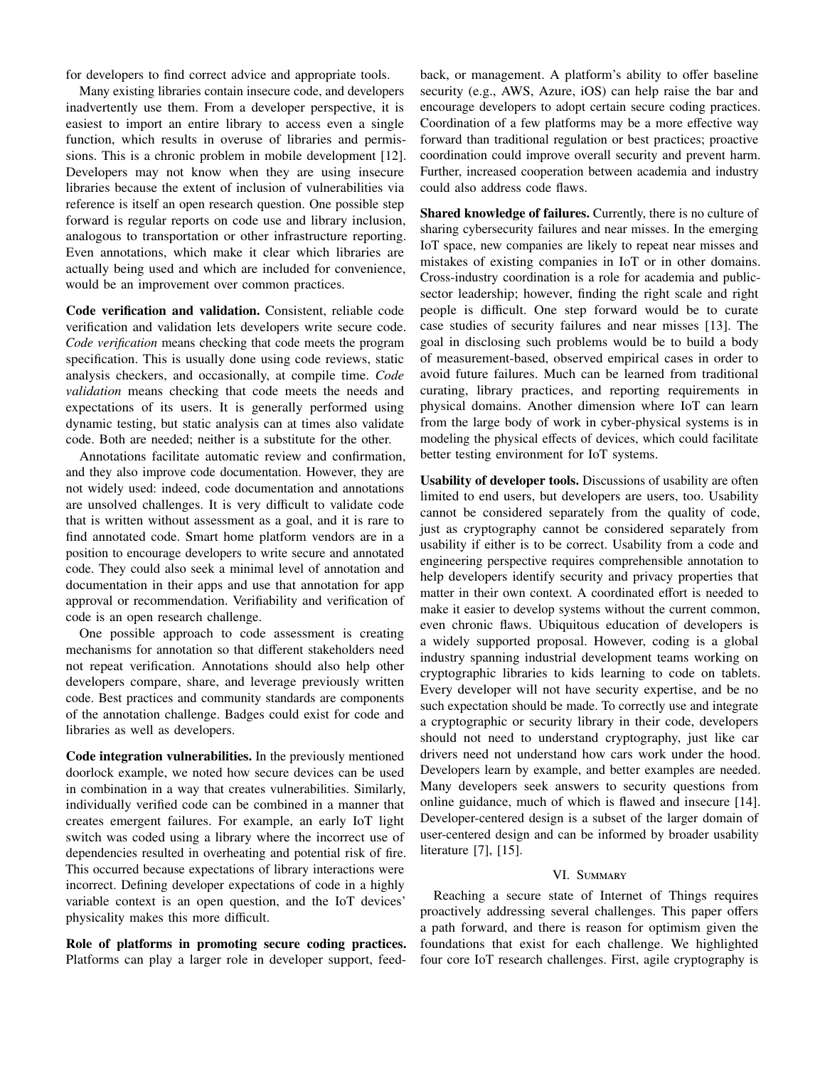for developers to find correct advice and appropriate tools.

Many existing libraries contain insecure code, and developers inadvertently use them. From a developer perspective, it is easiest to import an entire library to access even a single function, which results in overuse of libraries and permissions. This is a chronic problem in mobile development [\[12\]](#page-6-11). Developers may not know when they are using insecure libraries because the extent of inclusion of vulnerabilities via reference is itself an open research question. One possible step forward is regular reports on code use and library inclusion, analogous to transportation or other infrastructure reporting. Even annotations, which make it clear which libraries are actually being used and which are included for convenience, would be an improvement over common practices.

Code verification and validation. Consistent, reliable code verification and validation lets developers write secure code. *Code verification* means checking that code meets the program specification. This is usually done using code reviews, static analysis checkers, and occasionally, at compile time. *Code validation* means checking that code meets the needs and expectations of its users. It is generally performed using dynamic testing, but static analysis can at times also validate code. Both are needed; neither is a substitute for the other.

Annotations facilitate automatic review and confirmation, and they also improve code documentation. However, they are not widely used: indeed, code documentation and annotations are unsolved challenges. It is very difficult to validate code that is written without assessment as a goal, and it is rare to find annotated code. Smart home platform vendors are in a position to encourage developers to write secure and annotated code. They could also seek a minimal level of annotation and documentation in their apps and use that annotation for app approval or recommendation. Verifiability and verification of code is an open research challenge.

One possible approach to code assessment is creating mechanisms for annotation so that different stakeholders need not repeat verification. Annotations should also help other developers compare, share, and leverage previously written code. Best practices and community standards are components of the annotation challenge. Badges could exist for code and libraries as well as developers.

Code integration vulnerabilities. In the previously mentioned doorlock example, we noted how secure devices can be used in combination in a way that creates vulnerabilities. Similarly, individually verified code can be combined in a manner that creates emergent failures. For example, an early IoT light switch was coded using a library where the incorrect use of dependencies resulted in overheating and potential risk of fire. This occurred because expectations of library interactions were incorrect. Defining developer expectations of code in a highly variable context is an open question, and the IoT devices' physicality makes this more difficult.

Role of platforms in promoting secure coding practices. Platforms can play a larger role in developer support, feedback, or management. A platform's ability to offer baseline security (e.g., AWS, Azure, iOS) can help raise the bar and encourage developers to adopt certain secure coding practices. Coordination of a few platforms may be a more effective way forward than traditional regulation or best practices; proactive coordination could improve overall security and prevent harm. Further, increased cooperation between academia and industry could also address code flaws.

Shared knowledge of failures. Currently, there is no culture of sharing cybersecurity failures and near misses. In the emerging IoT space, new companies are likely to repeat near misses and mistakes of existing companies in IoT or in other domains. Cross-industry coordination is a role for academia and publicsector leadership; however, finding the right scale and right people is difficult. One step forward would be to curate case studies of security failures and near misses [\[13\]](#page-6-12). The goal in disclosing such problems would be to build a body of measurement-based, observed empirical cases in order to avoid future failures. Much can be learned from traditional curating, library practices, and reporting requirements in physical domains. Another dimension where IoT can learn from the large body of work in cyber-physical systems is in modeling the physical effects of devices, which could facilitate better testing environment for IoT systems.

Usability of developer tools. Discussions of usability are often limited to end users, but developers are users, too. Usability cannot be considered separately from the quality of code, just as cryptography cannot be considered separately from usability if either is to be correct. Usability from a code and engineering perspective requires comprehensible annotation to help developers identify security and privacy properties that matter in their own context. A coordinated effort is needed to make it easier to develop systems without the current common, even chronic flaws. Ubiquitous education of developers is a widely supported proposal. However, coding is a global industry spanning industrial development teams working on cryptographic libraries to kids learning to code on tablets. Every developer will not have security expertise, and be no such expectation should be made. To correctly use and integrate a cryptographic or security library in their code, developers should not need to understand cryptography, just like car drivers need not understand how cars work under the hood. Developers learn by example, and better examples are needed. Many developers seek answers to security questions from online guidance, much of which is flawed and insecure [\[14\]](#page-6-13). Developer-centered design is a subset of the larger domain of user-centered design and can be informed by broader usability literature [\[7\]](#page-6-6), [\[15\]](#page-6-14).

### VI. SUMMARY

Reaching a secure state of Internet of Things requires proactively addressing several challenges. This paper offers a path forward, and there is reason for optimism given the foundations that exist for each challenge. We highlighted four core IoT research challenges. First, agile cryptography is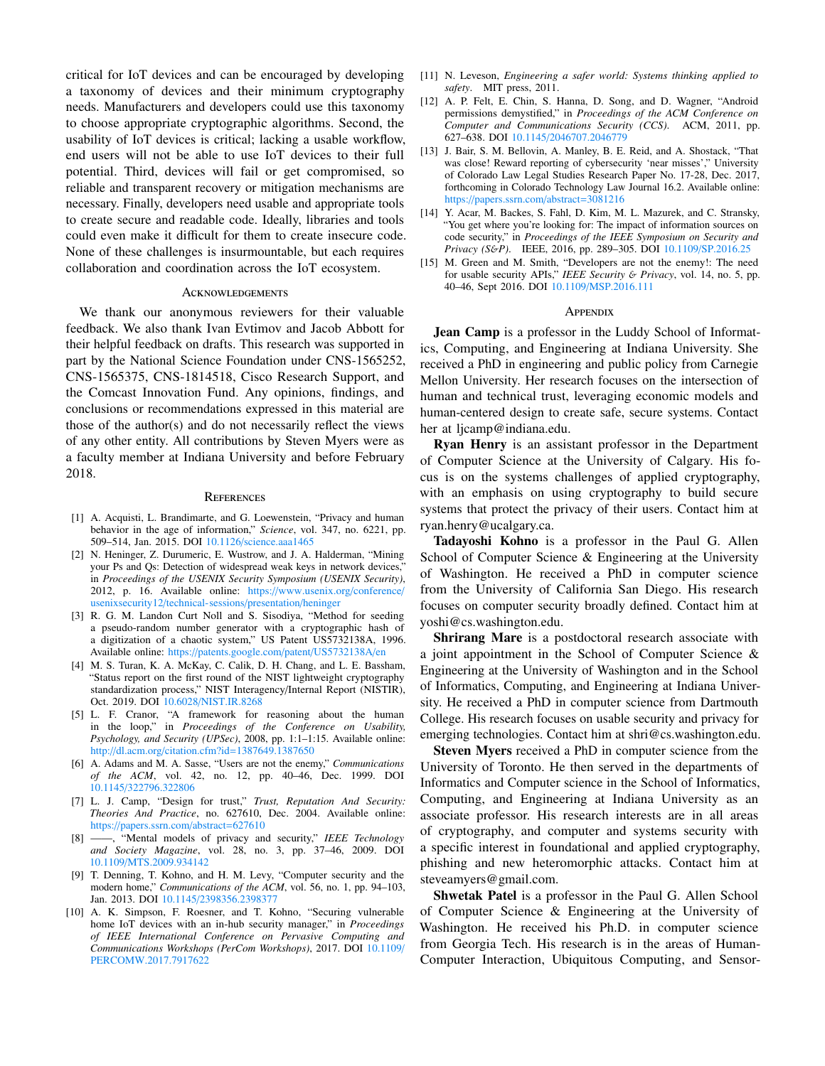critical for IoT devices and can be encouraged by developing a taxonomy of devices and their minimum cryptography needs. Manufacturers and developers could use this taxonomy to choose appropriate cryptographic algorithms. Second, the usability of IoT devices is critical; lacking a usable workflow, end users will not be able to use IoT devices to their full potential. Third, devices will fail or get compromised, so reliable and transparent recovery or mitigation mechanisms are necessary. Finally, developers need usable and appropriate tools to create secure and readable code. Ideally, libraries and tools could even make it difficult for them to create insecure code. None of these challenges is insurmountable, but each requires collaboration and coordination across the IoT ecosystem.

#### **ACKNOWLEDGEMENTS**

We thank our anonymous reviewers for their valuable feedback. We also thank Ivan Evtimov and Jacob Abbott for their helpful feedback on drafts. This research was supported in part by the National Science Foundation under CNS-1565252, CNS-1565375, CNS-1814518, Cisco Research Support, and the Comcast Innovation Fund. Any opinions, findings, and conclusions or recommendations expressed in this material are those of the author(s) and do not necessarily reflect the views of any other entity. All contributions by Steven Myers were as a faculty member at Indiana University and before February 2018.

#### **REFERENCES**

- <span id="page-6-0"></span>[1] A. Acquisti, L. Brandimarte, and G. Loewenstein, "Privacy and human behavior in the age of information," *Science*, vol. 347, no. 6221, pp. 509–514, Jan. 2015. DOI <sup>10</sup>.1126/science.[aaa1465](http://dx.doi.org/10.1126/science.aaa1465)
- <span id="page-6-1"></span>[2] N. Heninger, Z. Durumeric, E. Wustrow, and J. A. Halderman, "Mining your Ps and Qs: Detection of widespread weak keys in network devices,' in *Proceedings of the USENIX Security Symposium (USENIX Security)*, 2012, p. 16. Available online: https://www.usenix.org/[conference](https://www.usenix.org/conference/usenixsecurity12/technical-sessions/presentation/heninger)/ usenixsecurity12/[technical-sessions](https://www.usenix.org/conference/usenixsecurity12/technical-sessions/presentation/heninger)/presentation/heninger
- <span id="page-6-2"></span>[3] R. G. M. Landon Curt Noll and S. Sisodiya, "Method for seeding a pseudo-random number generator with a cryptographic hash of a digitization of a chaotic system," US Patent US5732138A, 1996. Available online: https://patents.google.com/patent/[US5732138A](https://patents.google.com/patent/US5732138A/en)/en
- <span id="page-6-3"></span>[4] M. S. Turan, K. A. McKay, C. Calik, D. H. Chang, and L. E. Bassham, "Status report on the first round of the NIST lightweight cryptography standardization process," NIST Interagency/Internal Report (NISTIR), Oct. 2019. DOI <sup>10</sup>.6028/[NIST](http://dx.doi.org/10.6028/NIST.IR.8268).IR.<sup>8268</sup>
- <span id="page-6-4"></span>[5] L. F. Cranor, "A framework for reasoning about the human in the loop," in *Proceedings of the Conference on Usability, Psychology, and Security (UPSec)*, 2008, pp. 1:1–1:15. Available online:
- <span id="page-6-5"></span>http://dl.acm.org/citation.cfm?id=[1387649](http://dl.acm.org/citation.cfm?id=1387649.1387650).<sup>1387650</sup> [6] A. Adams and M. A. Sasse, "Users are not the enemy," *Communications of the ACM*, vol. 42, no. 12, pp. 40–46, Dec. 1999. DOI <sup>10</sup>.1145/[322796](http://dx.doi.org/10.1145/322796.322806).<sup>322806</sup>
- <span id="page-6-6"></span>[7] L. J. Camp, "Design for trust," *Trust, Reputation And Security: Theories And Practice*, no. 627610, Dec. 2004. Available online: https://papers.ssrn.com/[abstract](https://papers.ssrn.com/abstract=627610)=<sup>627610</sup>
- <span id="page-6-7"></span>[8] ——, "Mental models of privacy and security," *IEEE Technology and Society Magazine*, vol. 28, no. 3, pp. 37–46, 2009. DOI <sup>10</sup>.1109/MTS.2009.[934142](http://dx.doi.org/10.1109/MTS.2009.934142)
- <span id="page-6-8"></span>[9] T. Denning, T. Kohno, and H. M. Levy, "Computer security and the modern home," *Communications of the ACM*, vol. 56, no. 1, pp. 94–103, Jan. 2013. DOI <sup>10</sup>.1145/[2398356](http://dx.doi.org/10.1145/2398356.2398377).<sup>2398377</sup>
- <span id="page-6-9"></span>[10] A. K. Simpson, F. Roesner, and T. Kohno, "Securing vulnerable home IoT devices with an in-hub security manager," in *Proceedings of IEEE International Conference on Pervasive Computing and Communications Workshops (PerCom Workshops)*, 2017. DOI <sup>10</sup>.[1109](http://dx.doi.org/10.1109/PERCOMW.2017.7917622)/ [PERCOMW](http://dx.doi.org/10.1109/PERCOMW.2017.7917622).2017.<sup>7917622</sup>
- <span id="page-6-10"></span>[11] N. Leveson, *Engineering a safer world: Systems thinking applied to safety*. MIT press, 2011.
- <span id="page-6-11"></span>[12] A. P. Felt, E. Chin, S. Hanna, D. Song, and D. Wagner, "Android permissions demystified," in *Proceedings of the ACM Conference on Computer and Communications Security (CCS)*. ACM, 2011, pp. 627–638. DOI <sup>10</sup>.1145/[2046707](http://dx.doi.org/10.1145/2046707.2046779).<sup>2046779</sup>
- <span id="page-6-12"></span>[13] J. Bair, S. M. Bellovin, A. Manley, B. E. Reid, and A. Shostack, "That was close! Reward reporting of cybersecurity 'near misses'," University of Colorado Law Legal Studies Research Paper No. 17-28, Dec. 2017, forthcoming in Colorado Technology Law Journal 16.2. Available online: https://papers.ssrn.com/abstract=[3081216](https://papers.ssrn.com/abstract=3081216)
- <span id="page-6-13"></span>[14] Y. Acar, M. Backes, S. Fahl, D. Kim, M. L. Mazurek, and C. Stransky, "You get where you're looking for: The impact of information sources on code security," in *Proceedings of the IEEE Symposium on Security and Privacy (S*&*P)*. IEEE, 2016, pp. 289–305. DOI <sup>10</sup>.[1109](http://dx.doi.org/10.1109/SP.2016.25)/SP.2016.<sup>25</sup>
- <span id="page-6-14"></span>[15] M. Green and M. Smith, "Developers are not the enemy!: The need for usable security APIs," *IEEE Security* & *Privacy*, vol. 14, no. 5, pp. 40–46, Sept 2016. DOI <sup>10</sup>.1109/[MSP](http://dx.doi.org/10.1109/MSP.2016.111).2016.<sup>111</sup>

#### **APPENDIX**

Jean Camp is a professor in the Luddy School of Informatics, Computing, and Engineering at Indiana University. She received a PhD in engineering and public policy from Carnegie Mellon University. Her research focuses on the intersection of human and technical trust, leveraging economic models and human-centered design to create safe, secure systems. Contact her at ljcamp@indiana.edu.

Ryan Henry is an assistant professor in the Department of Computer Science at the University of Calgary. His focus is on the systems challenges of applied cryptography, with an emphasis on using cryptography to build secure systems that protect the privacy of their users. Contact him at ryan.henry@ucalgary.ca.

Tadayoshi Kohno is a professor in the Paul G. Allen School of Computer Science & Engineering at the University of Washington. He received a PhD in computer science from the University of California San Diego. His research focuses on computer security broadly defined. Contact him at yoshi@cs.washington.edu.

Shrirang Mare is a postdoctoral research associate with a joint appointment in the School of Computer Science & Engineering at the University of Washington and in the School of Informatics, Computing, and Engineering at Indiana University. He received a PhD in computer science from Dartmouth College. His research focuses on usable security and privacy for emerging technologies. Contact him at shri@cs.washington.edu.

Steven Myers received a PhD in computer science from the University of Toronto. He then served in the departments of Informatics and Computer science in the School of Informatics, Computing, and Engineering at Indiana University as an associate professor. His research interests are in all areas of cryptography, and computer and systems security with a specific interest in foundational and applied cryptography, phishing and new heteromorphic attacks. Contact him at steveamyers@gmail.com.

Shwetak Patel is a professor in the Paul G. Allen School of Computer Science & Engineering at the University of Washington. He received his Ph.D. in computer science from Georgia Tech. His research is in the areas of Human-Computer Interaction, Ubiquitous Computing, and Sensor